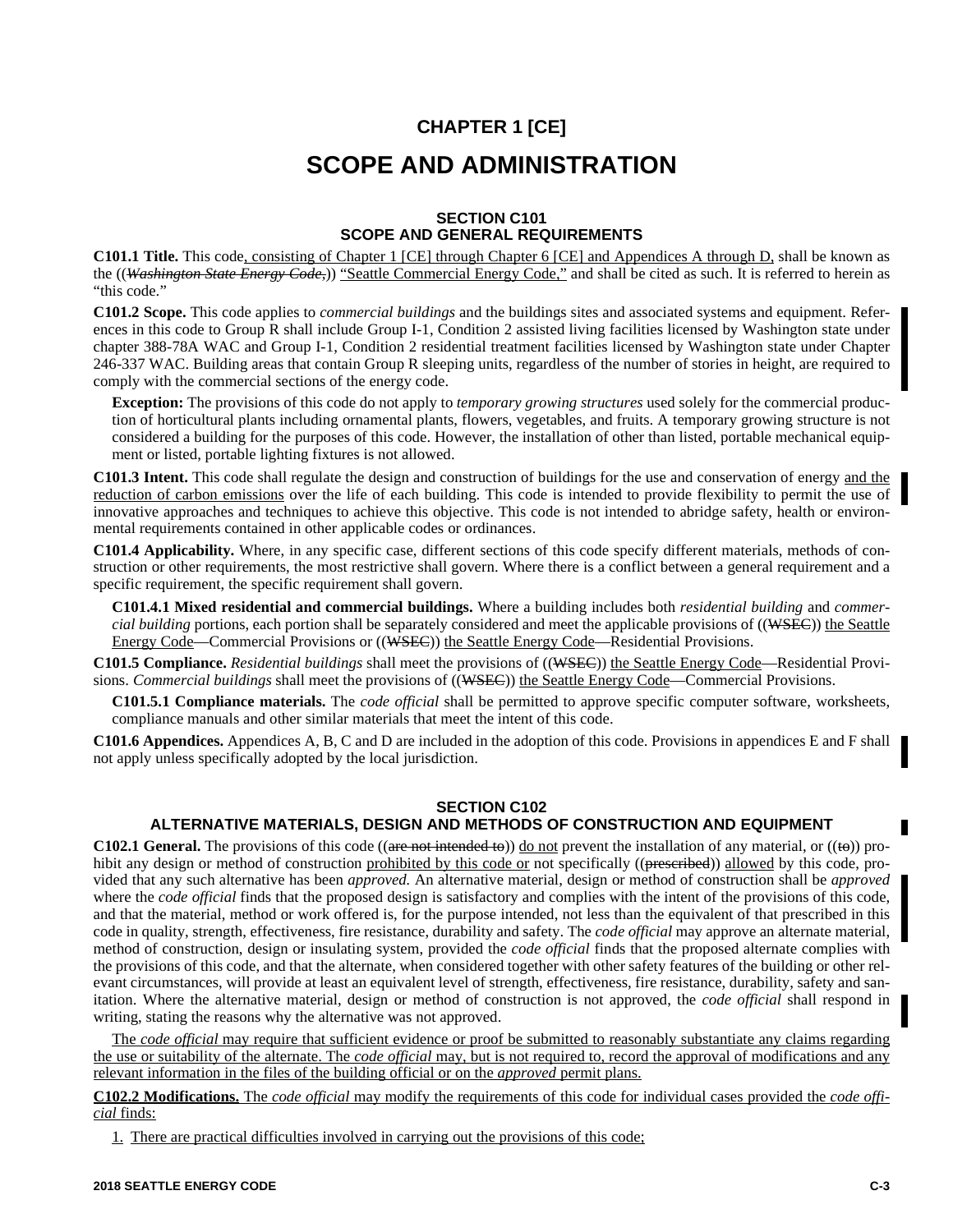# **CHAPTER 1 [CE] SCOPE AND ADMINISTRATION**

## **SECTION C101 SCOPE AND GENERAL REQUIREMENTS**

**C101.1 Title.** This code, consisting of Chapter 1 [CE] through Chapter 6 [CE] and Appendices A through D, shall be known as the ((*Washington State Energy Code,*)) "Seattle Commercial Energy Code," and shall be cited as such. It is referred to herein as "this code."

**C101.2 Scope.** This code applies to *commercial buildings* and the buildings sites and associated systems and equipment. References in this code to Group R shall include Group I-1, Condition 2 assisted living facilities licensed by Washington state under chapter 388-78A WAC and Group I-1, Condition 2 residential treatment facilities licensed by Washington state under Chapter 246-337 WAC. Building areas that contain Group R sleeping units, regardless of the number of stories in height, are required to comply with the commercial sections of the energy code.

**Exception:** The provisions of this code do not apply to *temporary growing structures* used solely for the commercial production of horticultural plants including ornamental plants, flowers, vegetables, and fruits. A temporary growing structure is not considered a building for the purposes of this code. However, the installation of other than listed, portable mechanical equipment or listed, portable lighting fixtures is not allowed.

**C101.3 Intent.** This code shall regulate the design and construction of buildings for the use and conservation of energy and the reduction of carbon emissions over the life of each building. This code is intended to provide flexibility to permit the use of innovative approaches and techniques to achieve this objective. This code is not intended to abridge safety, health or environmental requirements contained in other applicable codes or ordinances.

**C101.4 Applicability.** Where, in any specific case, different sections of this code specify different materials, methods of construction or other requirements, the most restrictive shall govern. Where there is a conflict between a general requirement and a specific requirement, the specific requirement shall govern.

**C101.4.1 Mixed residential and commercial buildings.** Where a building includes both *residential building* and *commercial building* portions, each portion shall be separately considered and meet the applicable provisions of ((WSEC)) the Seattle Energy Code—Commercial Provisions or ((WSEC)) the Seattle Energy Code—Residential Provisions.

**C101.5 Compliance.** *Residential buildings* shall meet the provisions of ((WSEC)) the Seattle Energy Code—Residential Provisions. *Commercial buildings* shall meet the provisions of ((WSEC)) the Seattle Energy Code—Commercial Provisions.

**C101.5.1 Compliance materials.** The *code official* shall be permitted to approve specific computer software, worksheets, compliance manuals and other similar materials that meet the intent of this code.

**C101.6 Appendices.** Appendices A, B, C and D are included in the adoption of this code. Provisions in appendices E and F shall not apply unless specifically adopted by the local jurisdiction.

## **SECTION C102**

# **ALTERNATIVE MATERIALS, DESIGN AND METHODS OF CONSTRUCTION AND EQUIPMENT**

**C102.1 General.** The provisions of this code (( $\theta$  are not intended to)) <u>do not</u> prevent the installation of any material, or ( $(\theta$ )) prohibit any design or method of construction prohibited by this code or not specifically ((prescribed)) allowed by this code, provided that any such alternative has been *approved.* An alternative material, design or method of construction shall be *approved* where the *code official* finds that the proposed design is satisfactory and complies with the intent of the provisions of this code, and that the material, method or work offered is, for the purpose intended, not less than the equivalent of that prescribed in this code in quality, strength, effectiveness, fire resistance, durability and safety. The *code official* may approve an alternate material, method of construction, design or insulating system, provided the *code official* finds that the proposed alternate complies with the provisions of this code, and that the alternate, when considered together with other safety features of the building or other relevant circumstances, will provide at least an equivalent level of strength, effectiveness, fire resistance, durability, safety and sanitation. Where the alternative material, design or method of construction is not approved, the *code official* shall respond in writing, stating the reasons why the alternative was not approved.

The *code official* may require that sufficient evidence or proof be submitted to reasonably substantiate any claims regarding the use or suitability of the alternate. The *code official* may, but is not required to, record the approval of modifications and any relevant information in the files of the building official or on the *approved* permit plans.

**C102.2 Modifications.** The *code official* may modify the requirements of this code for individual cases provided the *code official* finds:

1. There are practical difficulties involved in carrying out the provisions of this code;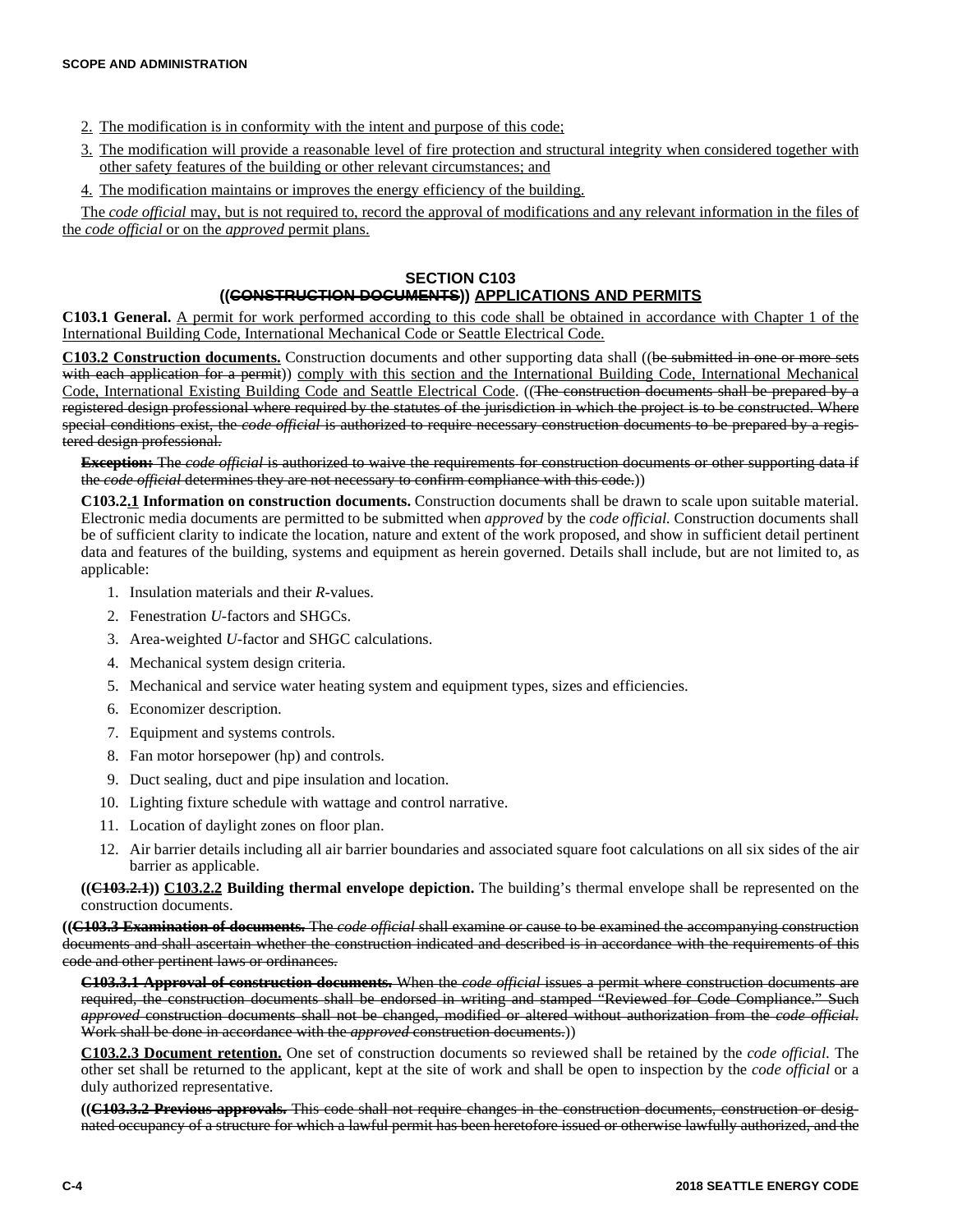- 2. The modification is in conformity with the intent and purpose of this code;
- 3. The modification will provide a reasonable level of fire protection and structural integrity when considered together with other safety features of the building or other relevant circumstances; and
- 4. The modification maintains or improves the energy efficiency of the building.

The *code official* may, but is not required to, record the approval of modifications and any relevant information in the files of the *code official* or on the *approved* permit plans.

## **SECTION C103**

# **((CONSTRUCTION DOCUMENTS)) APPLICATIONS AND PERMITS**

**C103.1 General.** A permit for work performed according to this code shall be obtained in accordance with Chapter 1 of the International Building Code, International Mechanical Code or Seattle Electrical Code.

**C103.2 Construction documents.** Construction documents and other supporting data shall ((be submitted in one or more sets with each application for a permit)) comply with this section and the International Building Code, International Mechanical Code, International Existing Building Code and Seattle Electrical Code. ((The construction documents shall be prepared by a registered design professional where required by the statutes of the jurisdiction in which the project is to be constructed. Where special conditions exist, the *code official* is authorized to require necessary construction documents to be prepared by a registered design professional.

**Exception:** The *code official* is authorized to waive the requirements for construction documents or other supporting data if the *code official* determines they are not necessary to confirm compliance with this code.))

**C103.2.1 Information on construction documents.** Construction documents shall be drawn to scale upon suitable material. Electronic media documents are permitted to be submitted when *approved* by the *code official.* Construction documents shall be of sufficient clarity to indicate the location, nature and extent of the work proposed, and show in sufficient detail pertinent data and features of the building, systems and equipment as herein governed. Details shall include, but are not limited to, as applicable:

- 1. Insulation materials and their *R-*values.
- 2. Fenestration *U-*factors and SHGCs.
- 3. Area-weighted *U-*factor and SHGC calculations.
- 4. Mechanical system design criteria.
- 5. Mechanical and service water heating system and equipment types, sizes and efficiencies.
- 6. Economizer description.
- 7. Equipment and systems controls.
- 8. Fan motor horsepower (hp) and controls.
- 9. Duct sealing, duct and pipe insulation and location.
- 10. Lighting fixture schedule with wattage and control narrative.
- 11. Location of daylight zones on floor plan.
- 12. Air barrier details including all air barrier boundaries and associated square foot calculations on all six sides of the air barrier as applicable.

**((C103.2.1)) C103.2.2 Building thermal envelope depiction.** The building's thermal envelope shall be represented on the construction documents.

**((C103.3 Examination of documents.** The *code official* shall examine or cause to be examined the accompanying construction documents and shall ascertain whether the construction indicated and described is in accordance with the requirements of this code and other pertinent laws or ordinances.

**C103.3.1 Approval of construction documents.** When the *code official* issues a permit where construction documents are required, the construction documents shall be endorsed in writing and stamped "Reviewed for Code Compliance." Such *approved* construction documents shall not be changed, modified or altered without authorization from the *code official*. Work shall be done in accordance with the *approved* construction documents.))

**C103.2.3 Document retention.** One set of construction documents so reviewed shall be retained by the *code official*. The other set shall be returned to the applicant, kept at the site of work and shall be open to inspection by the *code official* or a duly authorized representative.

**((C103.3.2 Previous approvals.** This code shall not require changes in the construction documents, construction or designated occupancy of a structure for which a lawful permit has been heretofore issued or otherwise lawfully authorized, and the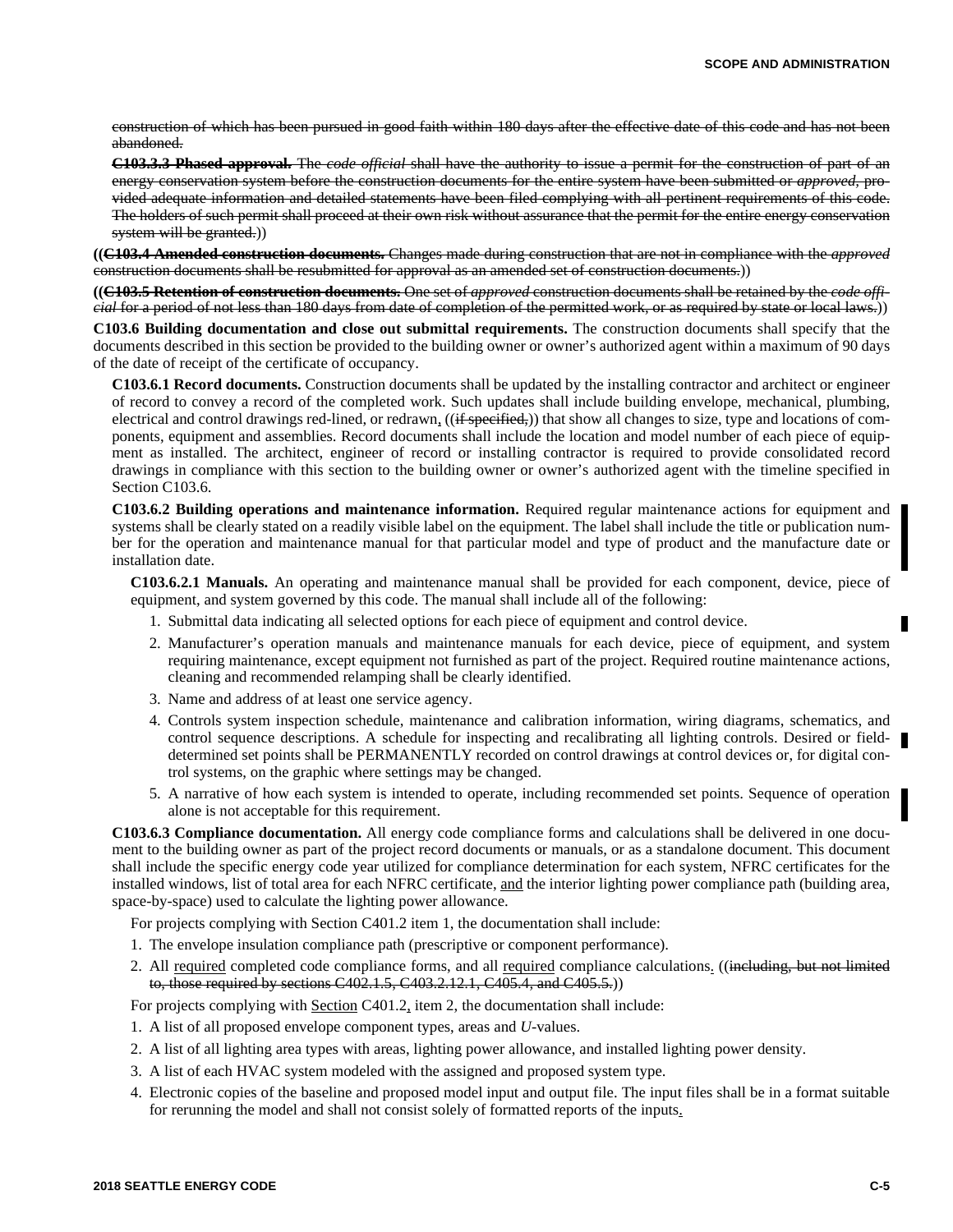construction of which has been pursued in good faith within 180 days after the effective date of this code and has not been abandoned.

**C103.3.3 Phased approval.** The *code official* shall have the authority to issue a permit for the construction of part of an energy conservation system before the construction documents for the entire system have been submitted or *approved,* provided adequate information and detailed statements have been filed complying with all pertinent requirements of this code. The holders of such permit shall proceed at their own risk without assurance that the permit for the entire energy conservation system will be granted.)

**((C103.4 Amended construction documents.** Changes made during construction that are not in compliance with the *approved* construction documents shall be resubmitted for approval as an amended set of construction documents.))

**((C103.5 Retention of construction documents.** One set of *approved* construction documents shall be retained by the *code official* for a period of not less than 180 days from date of completion of the permitted work, or as required by state or local laws.))

**C103.6 Building documentation and close out submittal requirements.** The construction documents shall specify that the documents described in this section be provided to the building owner or owner's authorized agent within a maximum of 90 days of the date of receipt of the certificate of occupancy.

**C103.6.1 Record documents.** Construction documents shall be updated by the installing contractor and architect or engineer of record to convey a record of the completed work. Such updates shall include building envelope, mechanical, plumbing, electrical and control drawings red-lined, or redrawn, ((if specified,)) that show all changes to size, type and locations of components, equipment and assemblies. Record documents shall include the location and model number of each piece of equipment as installed. The architect, engineer of record or installing contractor is required to provide consolidated record drawings in compliance with this section to the building owner or owner's authorized agent with the timeline specified in Section C103.6.

**C103.6.2 Building operations and maintenance information.** Required regular maintenance actions for equipment and systems shall be clearly stated on a readily visible label on the equipment. The label shall include the title or publication number for the operation and maintenance manual for that particular model and type of product and the manufacture date or installation date.

**C103.6.2.1 Manuals.** An operating and maintenance manual shall be provided for each component, device, piece of equipment, and system governed by this code. The manual shall include all of the following:

- 1. Submittal data indicating all selected options for each piece of equipment and control device.
- 2. Manufacturer's operation manuals and maintenance manuals for each device, piece of equipment, and system requiring maintenance, except equipment not furnished as part of the project. Required routine maintenance actions, cleaning and recommended relamping shall be clearly identified.
- 3. Name and address of at least one service agency.
- 4. Controls system inspection schedule, maintenance and calibration information, wiring diagrams, schematics, and control sequence descriptions. A schedule for inspecting and recalibrating all lighting controls. Desired or fielddetermined set points shall be PERMANENTLY recorded on control drawings at control devices or, for digital control systems, on the graphic where settings may be changed.
- 5. A narrative of how each system is intended to operate, including recommended set points. Sequence of operation alone is not acceptable for this requirement.

**C103.6.3 Compliance documentation.** All energy code compliance forms and calculations shall be delivered in one document to the building owner as part of the project record documents or manuals, or as a standalone document. This document shall include the specific energy code year utilized for compliance determination for each system, NFRC certificates for the installed windows, list of total area for each NFRC certificate, and the interior lighting power compliance path (building area, space-by-space) used to calculate the lighting power allowance.

For projects complying with Section C401.2 item 1, the documentation shall include:

- 1. The envelope insulation compliance path (prescriptive or component performance).
- 2. All required completed code compliance forms, and all required compliance calculations. ((including, but not limited to, those required by sections C402.1.5, C403.2.12.1, C405.4, and C405.5.))

For projects complying with Section C401.2, item 2, the documentation shall include:

- 1. A list of all proposed envelope component types, areas and *U-*values.
- 2. A list of all lighting area types with areas, lighting power allowance, and installed lighting power density.
- 3. A list of each HVAC system modeled with the assigned and proposed system type.
- 4. Electronic copies of the baseline and proposed model input and output file. The input files shall be in a format suitable for rerunning the model and shall not consist solely of formatted reports of the inputs.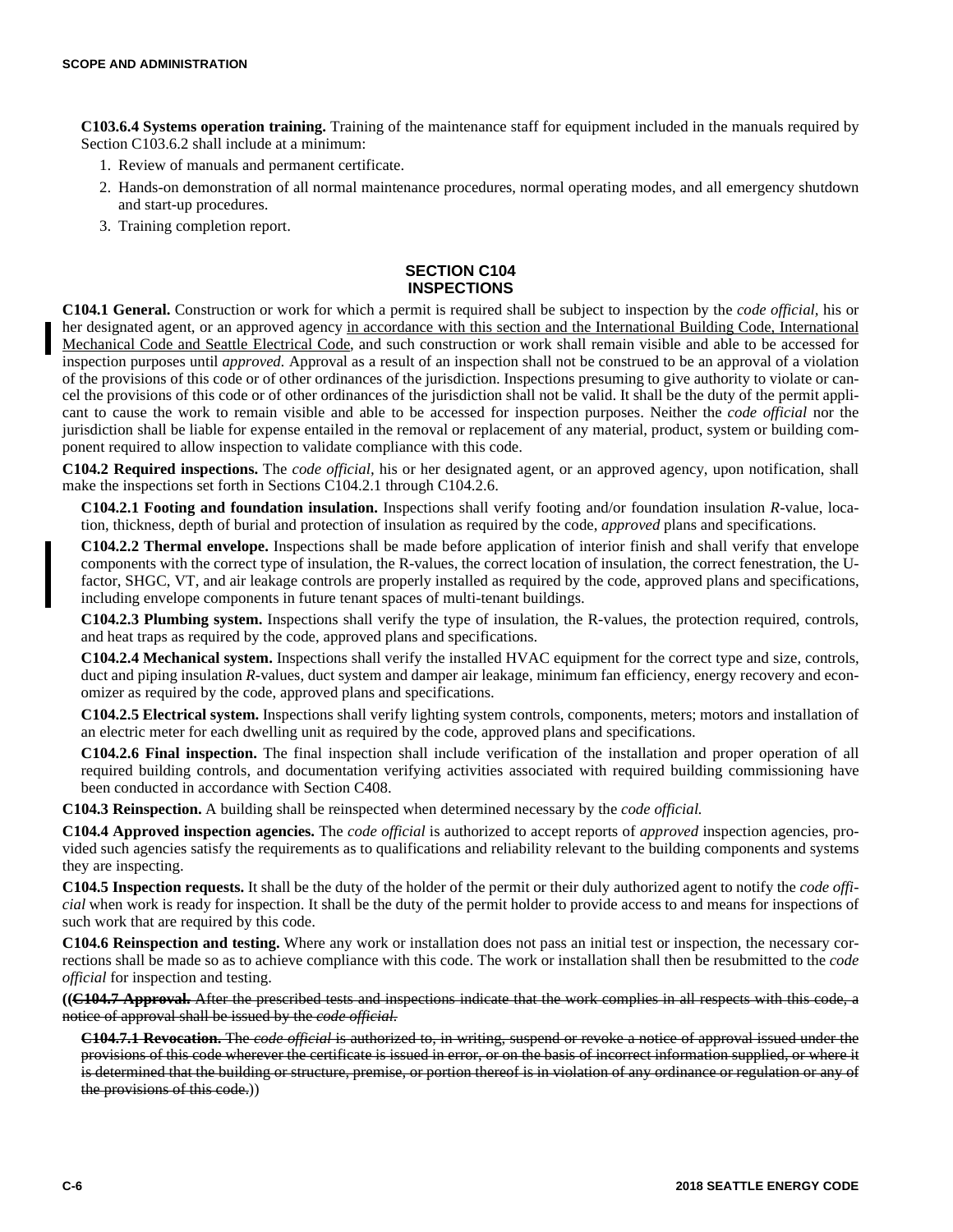**C103.6.4 Systems operation training.** Training of the maintenance staff for equipment included in the manuals required by Section C103.6.2 shall include at a minimum:

- 1. Review of manuals and permanent certificate.
- 2. Hands-on demonstration of all normal maintenance procedures, normal operating modes, and all emergency shutdown and start-up procedures.
- 3. Training completion report.

### **SECTION C104 INSPECTIONS**

**C104.1 General.** Construction or work for which a permit is required shall be subject to inspection by the *code official,* his or her designated agent, or an approved agency in accordance with this section and the International Building Code, International Mechanical Code and Seattle Electrical Code, and such construction or work shall remain visible and able to be accessed for inspection purposes until *approved.* Approval as a result of an inspection shall not be construed to be an approval of a violation of the provisions of this code or of other ordinances of the jurisdiction. Inspections presuming to give authority to violate or cancel the provisions of this code or of other ordinances of the jurisdiction shall not be valid. It shall be the duty of the permit applicant to cause the work to remain visible and able to be accessed for inspection purposes. Neither the *code official* nor the jurisdiction shall be liable for expense entailed in the removal or replacement of any material, product, system or building component required to allow inspection to validate compliance with this code.

**C104.2 Required inspections.** The *code official,* his or her designated agent, or an approved agency, upon notification, shall make the inspections set forth in Sections C104.2.1 through C104.2.6.

**C104.2.1 Footing and foundation insulation.** Inspections shall verify footing and/or foundation insulation *R-*value, location, thickness, depth of burial and protection of insulation as required by the code, *approved* plans and specifications.

**C104.2.2 Thermal envelope.** Inspections shall be made before application of interior finish and shall verify that envelope components with the correct type of insulation, the R-values, the correct location of insulation, the correct fenestration, the Ufactor, SHGC, VT, and air leakage controls are properly installed as required by the code, approved plans and specifications, including envelope components in future tenant spaces of multi-tenant buildings.

**C104.2.3 Plumbing system.** Inspections shall verify the type of insulation, the R-values, the protection required, controls, and heat traps as required by the code, approved plans and specifications.

**C104.2.4 Mechanical system.** Inspections shall verify the installed HVAC equipment for the correct type and size, controls, duct and piping insulation *R*-values, duct system and damper air leakage, minimum fan efficiency, energy recovery and economizer as required by the code, approved plans and specifications.

**C104.2.5 Electrical system.** Inspections shall verify lighting system controls, components, meters; motors and installation of an electric meter for each dwelling unit as required by the code, approved plans and specifications.

**C104.2.6 Final inspection.** The final inspection shall include verification of the installation and proper operation of all required building controls, and documentation verifying activities associated with required building commissioning have been conducted in accordance with Section C408.

**C104.3 Reinspection.** A building shall be reinspected when determined necessary by the *code official.*

**C104.4 Approved inspection agencies.** The *code official* is authorized to accept reports of *approved* inspection agencies, provided such agencies satisfy the requirements as to qualifications and reliability relevant to the building components and systems they are inspecting.

**C104.5 Inspection requests.** It shall be the duty of the holder of the permit or their duly authorized agent to notify the *code official* when work is ready for inspection. It shall be the duty of the permit holder to provide access to and means for inspections of such work that are required by this code.

**C104.6 Reinspection and testing.** Where any work or installation does not pass an initial test or inspection, the necessary corrections shall be made so as to achieve compliance with this code. The work or installation shall then be resubmitted to the *code official* for inspection and testing.

**((C104.7 Approval.** After the prescribed tests and inspections indicate that the work complies in all respects with this code, a notice of approval shall be issued by the *code official.*

**C104.7.1 Revocation.** The *code official* is authorized to, in writing, suspend or revoke a notice of approval issued under the provisions of this code wherever the certificate is issued in error, or on the basis of incorrect information supplied, or where it is determined that the building or structure, premise, or portion thereof is in violation of any ordinance or regulation or any of the provisions of this code.))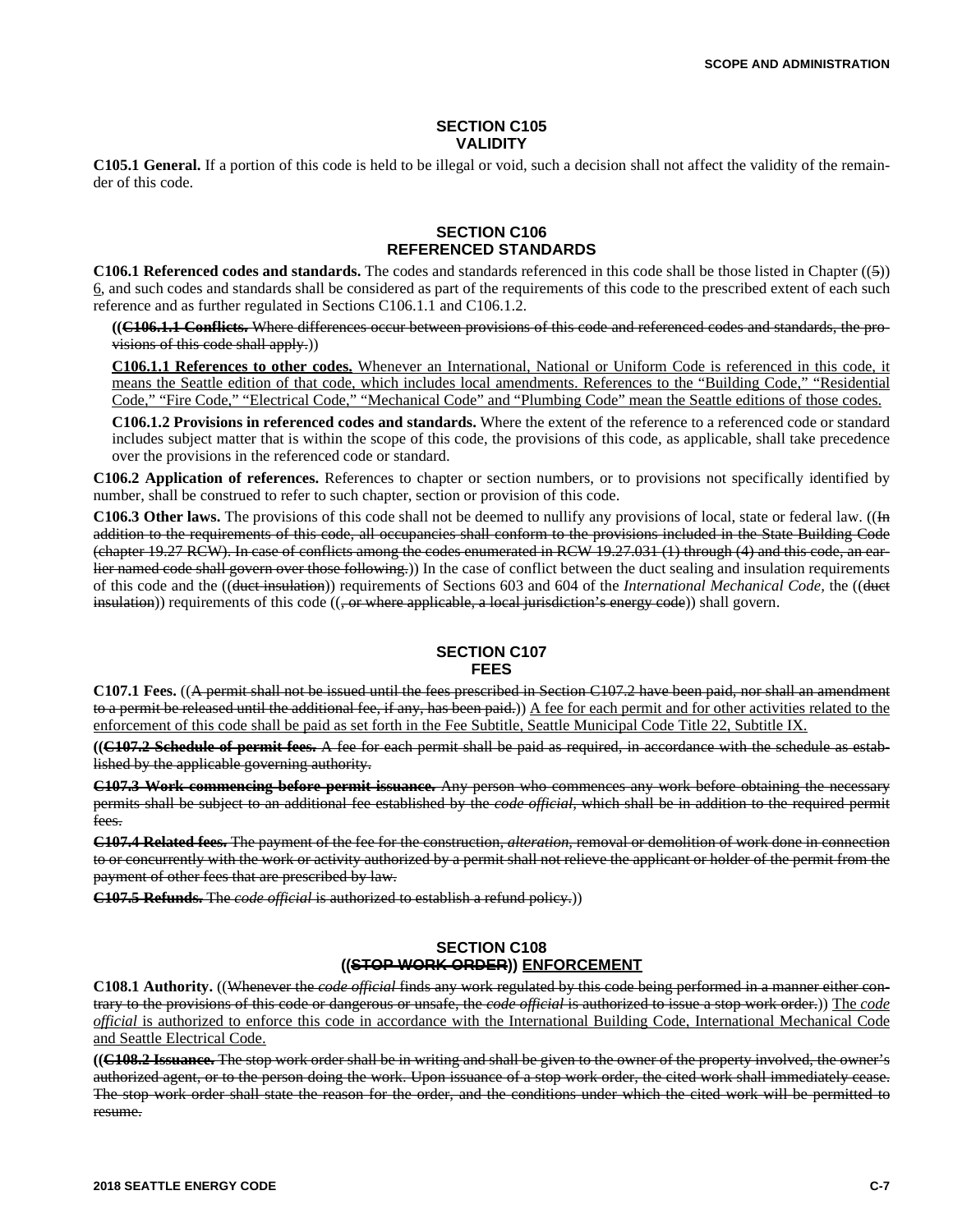#### **SECTION C105 VALIDITY**

**C105.1 General.** If a portion of this code is held to be illegal or void, such a decision shall not affect the validity of the remainder of this code.

#### **SECTION C106 REFERENCED STANDARDS**

**C106.1 Referenced codes and standards.** The codes and standards referenced in this code shall be those listed in Chapter ((5)) 6, and such codes and standards shall be considered as part of the requirements of this code to the prescribed extent of each such reference and as further regulated in Sections C106.1.1 and C106.1.2.

**((C106.1.1 Conflicts.** Where differences occur between provisions of this code and referenced codes and standards, the provisions of this code shall apply.))

**C106.1.1 References to other codes.** Whenever an International, National or Uniform Code is referenced in this code, it means the Seattle edition of that code, which includes local amendments. References to the "Building Code," "Residential Code," "Fire Code," "Electrical Code," "Mechanical Code" and "Plumbing Code" mean the Seattle editions of those codes.

**C106.1.2 Provisions in referenced codes and standards.** Where the extent of the reference to a referenced code or standard includes subject matter that is within the scope of this code, the provisions of this code, as applicable, shall take precedence over the provisions in the referenced code or standard.

**C106.2 Application of references.** References to chapter or section numbers, or to provisions not specifically identified by number, shall be construed to refer to such chapter, section or provision of this code.

**C106.3 Other laws.** The provisions of this code shall not be deemed to nullify any provisions of local, state or federal law. ((In addition to the requirements of this code, all occupancies shall conform to the provisions included in the State Building Code (chapter 19.27 RCW). In case of conflicts among the codes enumerated in RCW 19.27.031 (1) through (4) and this code, an earlier named code shall govern over those following.)) In the case of conflict between the duct sealing and insulation requirements of this code and the ((duct insulation)) requirements of Sections 603 and 604 of the *International Mechanical Code,* the ((duct  $in$ sulation)) requirements of this code  $((\text{or where applicable}, a local-*l*-direction's energy code))$  shall govern.

#### **SECTION C107 FEES**

**C107.1 Fees.** ((A permit shall not be issued until the fees prescribed in Section C107.2 have been paid, nor shall an amendment to a permit be released until the additional fee, if any, has been paid.)) A fee for each permit and for other activities related to the enforcement of this code shall be paid as set forth in the Fee Subtitle, Seattle Municipal Code Title 22, Subtitle IX.

**((C107.2 Schedule of permit fees.** A fee for each permit shall be paid as required, in accordance with the schedule as established by the applicable governing authority.

**C107.3 Work commencing before permit issuance.** Any person who commences any work before obtaining the necessary permits shall be subject to an additional fee established by the *code official,* which shall be in addition to the required permit fees.

**C107.4 Related fees.** The payment of the fee for the construction, *alteration,* removal or demolition of work done in connection to or concurrently with the work or activity authorized by a permit shall not relieve the applicant or holder of the permit from the payment of other fees that are prescribed by law.

**C107.5 Refunds.** The *code official* is authorized to establish a refund policy.))

## **SECTION C108 ((STOP WORK ORDER)) ENFORCEMENT**

**C108.1 Authority.** ((Whenever the *code official* finds any work regulated by this code being performed in a manner either contrary to the provisions of this code or dangerous or unsafe, the *code official* is authorized to issue a stop work order.)) The *code official* is authorized to enforce this code in accordance with the International Building Code, International Mechanical Code and Seattle Electrical Code.

**((C108.2 Issuance.** The stop work order shall be in writing and shall be given to the owner of the property involved, the owner's authorized agent, or to the person doing the work. Upon issuance of a stop work order, the cited work shall immediately cease. The stop work order shall state the reason for the order, and the conditions under which the cited work will be permitted to resume.